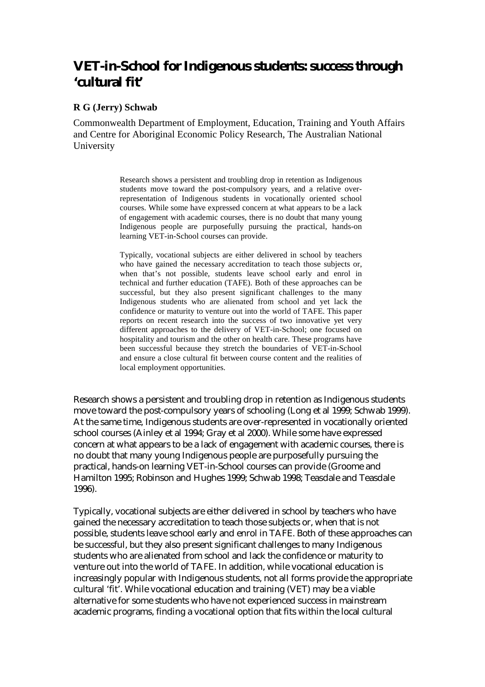# **VET-in-School for Indigenous students: success through 'cultural fit'**

#### **R G (Jerry) Schwab**

Commonwealth Department of Employment, Education, Training and Youth Affairs and Centre for Aboriginal Economic Policy Research, The Australian National University

> Research shows a persistent and troubling drop in retention as Indigenous students move toward the post-compulsory years, and a relative overrepresentation of Indigenous students in vocationally oriented school courses. While some have expressed concern at what appears to be a lack of engagement with academic courses, there is no doubt that many young Indigenous people are purposefully pursuing the practical, hands-on learning VET-in-School courses can provide.

> Typically, vocational subjects are either delivered in school by teachers who have gained the necessary accreditation to teach those subjects or, when that's not possible, students leave school early and enrol in technical and further education (TAFE). Both of these approaches can be successful, but they also present significant challenges to the many Indigenous students who are alienated from school and yet lack the confidence or maturity to venture out into the world of TAFE. This paper reports on recent research into the success of two innovative yet very different approaches to the delivery of VET-in-School; one focused on hospitality and tourism and the other on health care. These programs have been successful because they stretch the boundaries of VET-in-School and ensure a close cultural fit between course content and the realities of local employment opportunities.

Research shows a persistent and troubling drop in retention as Indigenous students move toward the post-compulsory years of schooling (Long et al 1999; Schwab 1999). At the same time, Indigenous students are over-represented in vocationally oriented school courses (Ainley et al 1994; Gray et al 2000). While some have expressed concern at what appears to be a lack of engagement with academic courses, there is no doubt that many young Indigenous people are purposefully pursuing the practical, hands-on learning VET-in-School courses can provide (Groome and Hamilton 1995; Robinson and Hughes 1999; Schwab 1998; Teasdale and Teasdale 1996).

Typically, vocational subjects are either delivered in school by teachers who have gained the necessary accreditation to teach those subjects or, when that is not possible, students leave school early and enrol in TAFE. Both of these approaches can be successful, but they also present significant challenges to many Indigenous students who are alienated from school and lack the confidence or maturity to venture out into the world of TAFE. In addition, while vocational education is increasingly popular with Indigenous students, not all forms provide the appropriate cultural 'fit'. While vocational education and training (VET) may be a viable alternative for some students who have not experienced success in mainstream academic programs, finding a vocational option that fits within the local cultural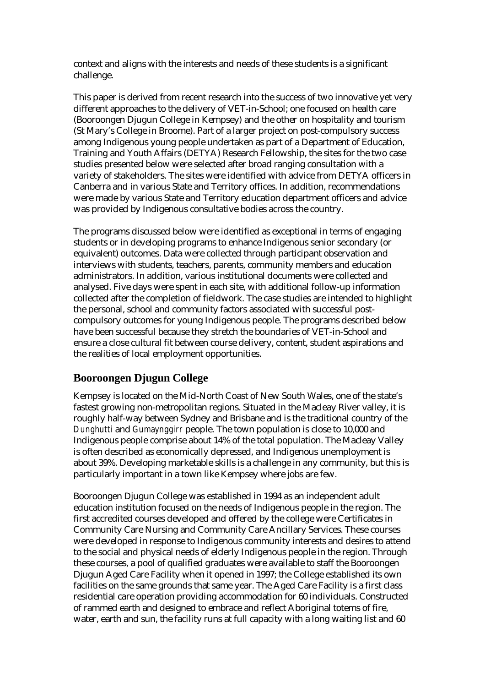context and aligns with the interests and needs of these students is a significant challenge.

This paper is derived from recent research into the success of two innovative yet very different approaches to the delivery of VET-in-School; one focused on health care (Booroongen Djugun College in Kempsey) and the other on hospitality and tourism (St Mary's College in Broome). Part of a larger project on post-compulsory success among Indigenous young people undertaken as part of a Department of Education, Training and Youth Affairs (DETYA) Research Fellowship, the sites for the two case studies presented below were selected after broad ranging consultation with a variety of stakeholders. The sites were identified with advice from DETYA officers in Canberra and in various State and Territory offices. In addition, recommendations were made by various State and Territory education department officers and advice was provided by Indigenous consultative bodies across the country.

The programs discussed below were identified as exceptional in terms of engaging students or in developing programs to enhance Indigenous senior secondary (or equivalent) outcomes. Data were collected through participant observation and interviews with students, teachers, parents, community members and education administrators. In addition, various institutional documents were collected and analysed. Five days were spent in each site, with additional follow-up information collected after the completion of fieldwork. The case studies are intended to highlight the personal, school and community factors associated with successful postcompulsory outcomes for young Indigenous people. The programs described below have been successful because they stretch the boundaries of VET-in-School and ensure a close cultural fit between course delivery, content, student aspirations and the realities of local employment opportunities.

# **Booroongen Djugun College**

Kempsey is located on the Mid-North Coast of New South Wales, one of the state's fastest growing non-metropolitan regions. Situated in the Macleay River valley, it is roughly half-way between Sydney and Brisbane and is the traditional country of the *Dunghutti* and *Gumaynggirr* people. The town population is close to 10,000 and Indigenous people comprise about 14% of the total population. The Macleay Valley is often described as economically depressed, and Indigenous unemployment is about 39%. Developing marketable skills is a challenge in any community, but this is particularly important in a town like Kempsey where jobs are few.

Booroongen Djugun College was established in 1994 as an independent adult education institution focused on the needs of Indigenous people in the region. The first accredited courses developed and offered by the college were Certificates in Community Care Nursing and Community Care Ancillary Services. These courses were developed in response to Indigenous community interests and desires to attend to the social and physical needs of elderly Indigenous people in the region. Through these courses, a pool of qualified graduates were available to staff the Booroongen Djugun Aged Care Facility when it opened in 1997; the College established its own facilities on the same grounds that same year. The Aged Care Facility is a first class residential care operation providing accommodation for 60 individuals. Constructed of rammed earth and designed to embrace and reflect Aboriginal totems of fire, water, earth and sun, the facility runs at full capacity with a long waiting list and 60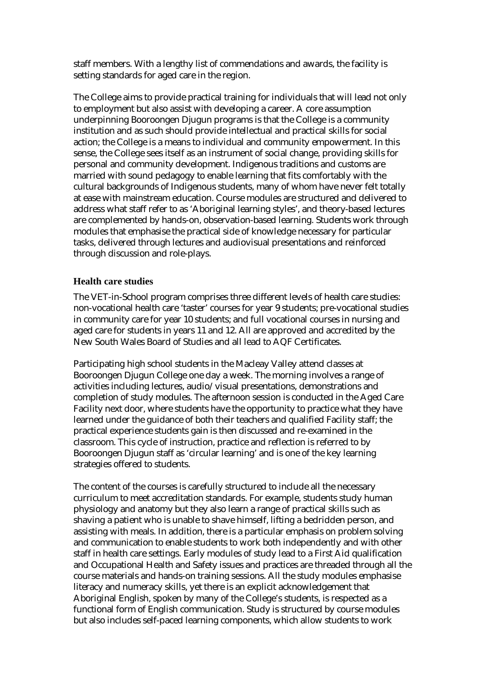staff members. With a lengthy list of commendations and awards, the facility is setting standards for aged care in the region.

The College aims to provide practical training for individuals that will lead not only to employment but also assist with developing a career. A core assumption underpinning Booroongen Djugun programs is that the College is a community institution and as such should provide intellectual and practical skills for social action; the College is a means to individual and community empowerment. In this sense, the College sees itself as an instrument of social change, providing skills for personal and community development. Indigenous traditions and customs are married with sound pedagogy to enable learning that fits comfortably with the cultural backgrounds of Indigenous students, many of whom have never felt totally at ease with mainstream education. Course modules are structured and delivered to address what staff refer to as 'Aboriginal learning styles', and theory-based lectures are complemented by hands-on, observation-based learning. Students work through modules that emphasise the practical side of knowledge necessary for particular tasks, delivered through lectures and audiovisual presentations and reinforced through discussion and role-plays.

#### **Health care studies**

The VET-in-School program comprises three different levels of health care studies: non-vocational health care 'taster' courses for year 9 students; pre-vocational studies in community care for year 10 students; and full vocational courses in nursing and aged care for students in years 11 and 12. All are approved and accredited by the New South Wales Board of Studies and all lead to AQF Certificates.

Participating high school students in the Macleay Valley attend classes at Booroongen Djugun College one day a week. The morning involves a range of activities including lectures, audio/visual presentations, demonstrations and completion of study modules. The afternoon session is conducted in the Aged Care Facility next door, where students have the opportunity to practice what they have learned under the guidance of both their teachers and qualified Facility staff; the practical experience students gain is then discussed and re-examined in the classroom. This cycle of instruction, practice and reflection is referred to by Booroongen Djugun staff as 'circular learning' and is one of the key learning strategies offered to students.

The content of the courses is carefully structured to include all the necessary curriculum to meet accreditation standards. For example, students study human physiology and anatomy but they also learn a range of practical skills such as shaving a patient who is unable to shave himself, lifting a bedridden person, and assisting with meals. In addition, there is a particular emphasis on problem solving and communication to enable students to work both independently and with other staff in health care settings. Early modules of study lead to a First Aid qualification and Occupational Health and Safety issues and practices are threaded through all the course materials and hands-on training sessions. All the study modules emphasise literacy and numeracy skills, yet there is an explicit acknowledgement that Aboriginal English, spoken by many of the College's students, is respected as a functional form of English communication. Study is structured by course modules but also includes self-paced learning components, which allow students to work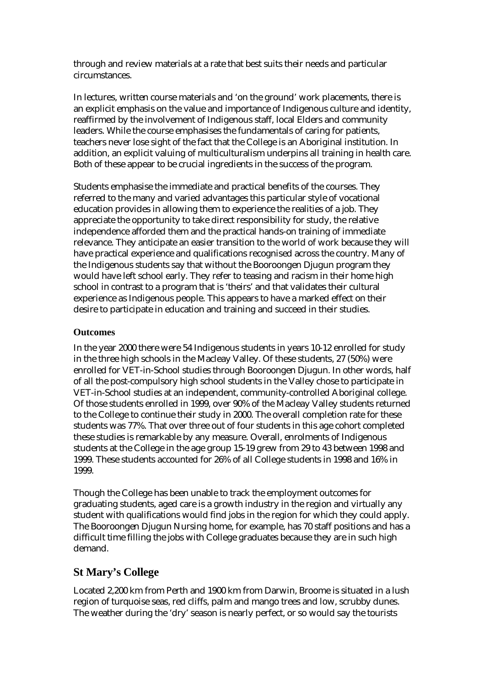through and review materials at a rate that best suits their needs and particular circumstances.

In lectures, written course materials and 'on the ground' work placements, there is an explicit emphasis on the value and importance of Indigenous culture and identity, reaffirmed by the involvement of Indigenous staff, local Elders and community leaders. While the course emphasises the fundamentals of caring for patients, teachers never lose sight of the fact that the College is an Aboriginal institution. In addition, an explicit valuing of multiculturalism underpins all training in health care. Both of these appear to be crucial ingredients in the success of the program.

Students emphasise the immediate and practical benefits of the courses. They referred to the many and varied advantages this particular style of vocational education provides in allowing them to experience the realities of a job. They appreciate the opportunity to take direct responsibility for study, the relative independence afforded them and the practical hands-on training of immediate relevance. They anticipate an easier transition to the world of work because they will have practical experience and qualifications recognised across the country. Many of the Indigenous students say that without the Booroongen Djugun program they would have left school early. They refer to teasing and racism in their home high school in contrast to a program that is 'theirs' and that validates their cultural experience as Indigenous people. This appears to have a marked effect on their desire to participate in education and training and succeed in their studies.

#### **Outcomes**

In the year 2000 there were 54 Indigenous students in years 10-12 enrolled for study in the three high schools in the Macleay Valley. Of these students, 27 (50%) were enrolled for VET-in-School studies through Booroongen Djugun. In other words, half of all the post-compulsory high school students in the Valley chose to participate in VET-in-School studies at an independent, community-controlled Aboriginal college. Of those students enrolled in 1999, over 90% of the Macleay Valley students returned to the College to continue their study in 2000. The overall completion rate for these students was 77%. That over three out of four students in this age cohort completed these studies is remarkable by any measure. Overall, enrolments of Indigenous students at the College in the age group 15-19 grew from 29 to 43 between 1998 and 1999. These students accounted for 26% of all College students in 1998 and 16% in 1999.

Though the College has been unable to track the employment outcomes for graduating students, aged care is a growth industry in the region and virtually any student with qualifications would find jobs in the region for which they could apply. The Booroongen Djugun Nursing home, for example, has 70 staff positions and has a difficult time filling the jobs with College graduates because they are in such high demand.

## **St Mary's College**

Located 2,200 km from Perth and 1900 km from Darwin, Broome is situated in a lush region of turquoise seas, red cliffs, palm and mango trees and low, scrubby dunes. The weather during the 'dry' season is nearly perfect, or so would say the tourists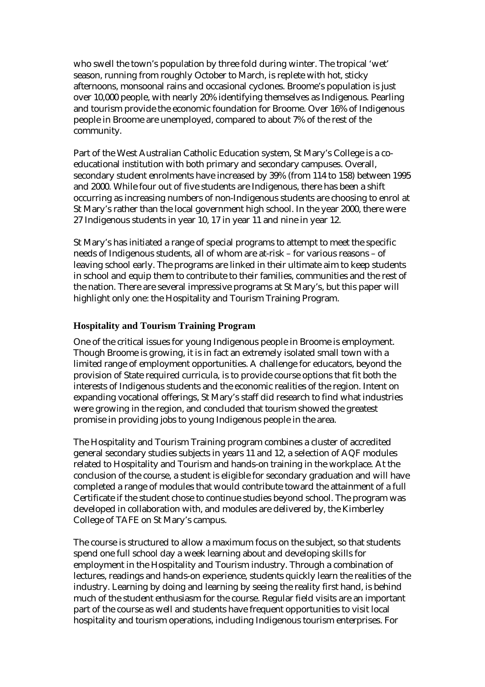who swell the town's population by three fold during winter. The tropical 'wet' season, running from roughly October to March, is replete with hot, sticky afternoons, monsoonal rains and occasional cyclones. Broome's population is just over 10,000 people, with nearly 20% identifying themselves as Indigenous. Pearling and tourism provide the economic foundation for Broome. Over 16% of Indigenous people in Broome are unemployed, compared to about 7% of the rest of the community.

Part of the West Australian Catholic Education system, St Mary's College is a coeducational institution with both primary and secondary campuses. Overall, secondary student enrolments have increased by 39% (from 114 to 158) between 1995 and 2000. While four out of five students are Indigenous, there has been a shift occurring as increasing numbers of non-Indigenous students are choosing to enrol at St Mary's rather than the local government high school. In the year 2000, there were 27 Indigenous students in year 10, 17 in year 11 and nine in year 12.

St Mary's has initiated a range of special programs to attempt to meet the specific needs of Indigenous students, all of whom are at-risk – for various reasons – of leaving school early. The programs are linked in their ultimate aim to keep students in school and equip them to contribute to their families, communities and the rest of the nation. There are several impressive programs at St Mary's, but this paper will highlight only one: the Hospitality and Tourism Training Program.

#### **Hospitality and Tourism Training Program**

One of the critical issues for young Indigenous people in Broome is employment. Though Broome is growing, it is in fact an extremely isolated small town with a limited range of employment opportunities. A challenge for educators, beyond the provision of State required curricula, is to provide course options that fit both the interests of Indigenous students and the economic realities of the region. Intent on expanding vocational offerings, St Mary's staff did research to find what industries were growing in the region, and concluded that tourism showed the greatest promise in providing jobs to young Indigenous people in the area.

The Hospitality and Tourism Training program combines a cluster of accredited general secondary studies subjects in years 11 and 12, a selection of AQF modules related to Hospitality and Tourism and hands-on training in the workplace. At the conclusion of the course, a student is eligible for secondary graduation and will have completed a range of modules that would contribute toward the attainment of a full Certificate if the student chose to continue studies beyond school. The program was developed in collaboration with, and modules are delivered by, the Kimberley College of TAFE on St Mary's campus.

The course is structured to allow a maximum focus on the subject, so that students spend one full school day a week learning about and developing skills for employment in the Hospitality and Tourism industry. Through a combination of lectures, readings and hands-on experience, students quickly learn the realities of the industry. Learning by doing and learning by seeing the reality first hand, is behind much of the student enthusiasm for the course. Regular field visits are an important part of the course as well and students have frequent opportunities to visit local hospitality and tourism operations, including Indigenous tourism enterprises. For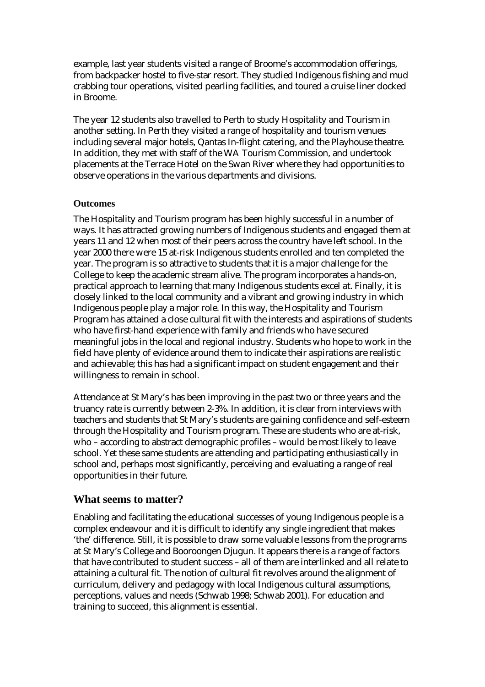example, last year students visited a range of Broome's accommodation offerings, from backpacker hostel to five-star resort. They studied Indigenous fishing and mud crabbing tour operations, visited pearling facilities, and toured a cruise liner docked in Broome.

The year 12 students also travelled to Perth to study Hospitality and Tourism in another setting. In Perth they visited a range of hospitality and tourism venues including several major hotels, Qantas In-flight catering, and the Playhouse theatre. In addition, they met with staff of the WA Tourism Commission, and undertook placements at the Terrace Hotel on the Swan River where they had opportunities to observe operations in the various departments and divisions.

## **Outcomes**

The Hospitality and Tourism program has been highly successful in a number of ways. It has attracted growing numbers of Indigenous students and engaged them at years 11 and 12 when most of their peers across the country have left school. In the year 2000 there were 15 at-risk Indigenous students enrolled and ten completed the year. The program is so attractive to students that it is a major challenge for the College to keep the academic stream alive. The program incorporates a hands-on, practical approach to learning that many Indigenous students excel at. Finally, it is closely linked to the local community and a vibrant and growing industry in which Indigenous people play a major role. In this way, the Hospitality and Tourism Program has attained a close cultural fit with the interests and aspirations of students who have first-hand experience with family and friends who have secured meaningful jobs in the local and regional industry. Students who hope to work in the field have plenty of evidence around them to indicate their aspirations are realistic and achievable; this has had a significant impact on student engagement and their willingness to remain in school.

Attendance at St Mary's has been improving in the past two or three years and the truancy rate is currently between 2-3%. In addition, it is clear from interviews with teachers and students that St Mary's students are gaining confidence and self-esteem through the Hospitality and Tourism program. These are students who are at-risk, who – according to abstract demographic profiles – would be most likely to leave school. Yet these same students are attending and participating enthusiastically in school and, perhaps most significantly, perceiving and evaluating a range of real opportunities in their future.

## **What seems to matter?**

Enabling and facilitating the educational successes of young Indigenous people is a complex endeavour and it is difficult to identify any single ingredient that makes 'the' difference. Still, it is possible to draw some valuable lessons from the programs at St Mary's College and Booroongen Djugun. It appears there is a range of factors that have contributed to student success – all of them are interlinked and all relate to attaining a cultural fit. The notion of cultural fit revolves around the alignment of curriculum, delivery and pedagogy with local Indigenous cultural assumptions, perceptions, values and needs (Schwab 1998; Schwab 2001). For education and training to succeed, this alignment is essential.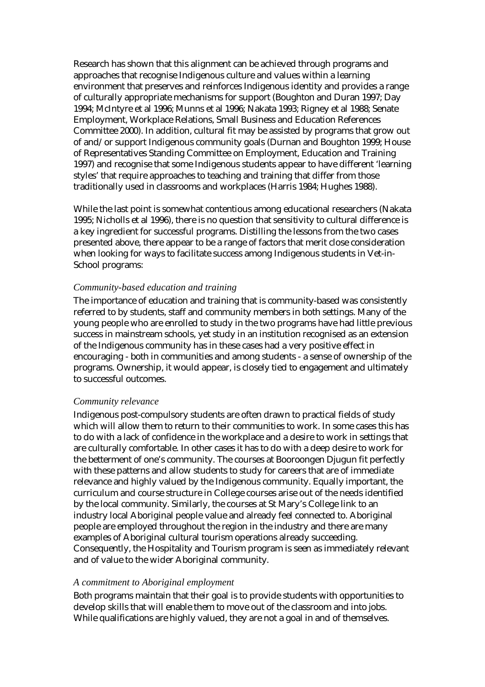Research has shown that this alignment can be achieved through programs and approaches that recognise Indigenous culture and values within a learning environment that preserves and reinforces Indigenous identity and provides a range of culturally appropriate mechanisms for support (Boughton and Duran 1997; Day 1994; McIntyre et al 1996; Munns et al 1996; Nakata 1993; Rigney et al 1988; Senate Employment, Workplace Relations, Small Business and Education References Committee 2000). In addition, cultural fit may be assisted by programs that grow out of and/or support Indigenous community goals (Durnan and Boughton 1999; House of Representatives Standing Committee on Employment, Education and Training 1997) and recognise that some Indigenous students appear to have different 'learning styles' that require approaches to teaching and training that differ from those traditionally used in classrooms and workplaces (Harris 1984; Hughes 1988).

While the last point is somewhat contentious among educational researchers (Nakata 1995; Nicholls et al 1996), there is no question that sensitivity to cultural difference is a key ingredient for successful programs. Distilling the lessons from the two cases presented above, there appear to be a range of factors that merit close consideration when looking for ways to facilitate success among Indigenous students in Vet-in-School programs:

#### *Community-based education and training*

The importance of education and training that is community-based was consistently referred to by students, staff and community members in both settings. Many of the young people who are enrolled to study in the two programs have had little previous success in mainstream schools, yet study in an institution recognised as an extension of the Indigenous community has in these cases had a very positive effect in encouraging - both in communities and among students - a sense of ownership of the programs. Ownership, it would appear, is closely tied to engagement and ultimately to successful outcomes.

#### *Community relevance*

Indigenous post-compulsory students are often drawn to practical fields of study which will allow them to return to their communities to work. In some cases this has to do with a lack of confidence in the workplace and a desire to work in settings that are culturally comfortable. In other cases it has to do with a deep desire to work for the betterment of one's community. The courses at Booroongen Djugun fit perfectly with these patterns and allow students to study for careers that are of immediate relevance and highly valued by the Indigenous community. Equally important, the curriculum and course structure in College courses arise out of the needs identified by the local community. Similarly, the courses at St Mary's College link to an industry local Aboriginal people value and already feel connected to. Aboriginal people are employed throughout the region in the industry and there are many examples of Aboriginal cultural tourism operations already succeeding. Consequently, the Hospitality and Tourism program is seen as immediately relevant and of value to the wider Aboriginal community.

#### *A commitment to Aboriginal employment*

Both programs maintain that their goal is to provide students with opportunities to develop skills that will enable them to move out of the classroom and into jobs. While qualifications are highly valued, they are not a goal in and of themselves.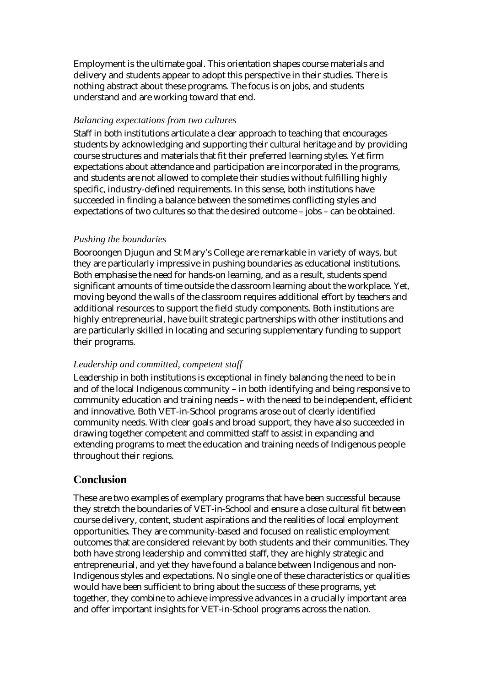Employment is the ultimate goal. This orientation shapes course materials and delivery and students appear to adopt this perspective in their studies. There is nothing abstract about these programs. The focus is on jobs, and students understand and are working toward that end.

#### *Balancing expectations from two cultures*

Staff in both institutions articulate a clear approach to teaching that encourages students by acknowledging and supporting their cultural heritage and by providing course structures and materials that fit their preferred learning styles. Yet firm expectations about attendance and participation are incorporated in the programs, and students are not allowed to complete their studies without fulfilling highly specific, industry-defined requirements. In this sense, both institutions have succeeded in finding a balance between the sometimes conflicting styles and expectations of two cultures so that the desired outcome – jobs – can be obtained.

#### *Pushing the boundaries*

Booroongen Djugun and St Mary's College are remarkable in variety of ways, but they are particularly impressive in pushing boundaries as educational institutions. Both emphasise the need for hands-on learning, and as a result, students spend significant amounts of time outside the classroom learning about the workplace. Yet, moving beyond the walls of the classroom requires additional effort by teachers and additional resources to support the field study components. Both institutions are highly entrepreneurial, have built strategic partnerships with other institutions and are particularly skilled in locating and securing supplementary funding to support their programs.

#### *Leadership and committed, competent staff*

Leadership in both institutions is exceptional in finely balancing the need to be in and of the local Indigenous community – in both identifying and being responsive to community education and training needs – with the need to be independent, efficient and innovative. Both VET-in-School programs arose out of clearly identified community needs. With clear goals and broad support, they have also succeeded in drawing together competent and committed staff to assist in expanding and extending programs to meet the education and training needs of Indigenous people throughout their regions.

## **Conclusion**

These are two examples of exemplary programs that have been successful because they stretch the boundaries of VET-in-School and ensure a close cultural fit between course delivery, content, student aspirations and the realities of local employment opportunities. They are community-based and focused on realistic employment outcomes that are considered relevant by both students and their communities. They both have strong leadership and committed staff, they are highly strategic and entrepreneurial, and yet they have found a balance between Indigenous and non-Indigenous styles and expectations. No single one of these characteristics or qualities would have been sufficient to bring about the success of these programs, yet together, they combine to achieve impressive advances in a crucially important area and offer important insights for VET-in-School programs across the nation.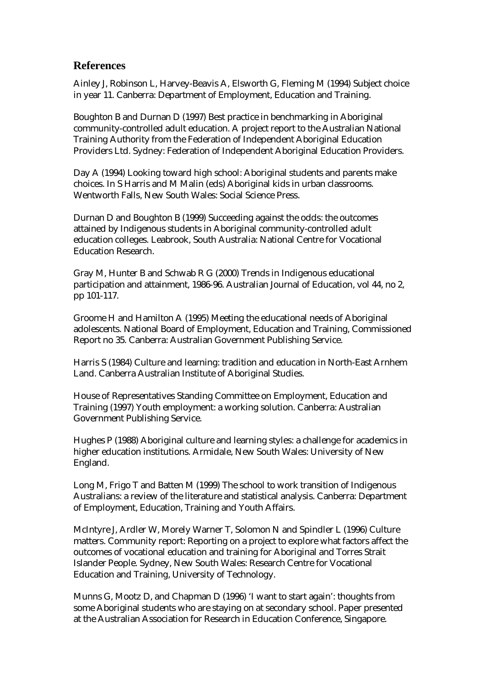## **References**

Ainley J, Robinson L, Harvey-Beavis A, Elsworth G, Fleming M (1994) Subject choice in year 11. Canberra: Department of Employment, Education and Training.

Boughton B and Durnan D (1997) Best practice in benchmarking in Aboriginal community-controlled adult education. A project report to the Australian National Training Authority from the Federation of Independent Aboriginal Education Providers Ltd. Sydney: Federation of Independent Aboriginal Education Providers.

Day A (1994) Looking toward high school: Aboriginal students and parents make choices. In S Harris and M Malin (eds) Aboriginal kids in urban classrooms. Wentworth Falls, New South Wales: Social Science Press.

Durnan D and Boughton B (1999) Succeeding against the odds: the outcomes attained by Indigenous students in Aboriginal community-controlled adult education colleges. Leabrook, South Australia: National Centre for Vocational Education Research.

Gray M, Hunter B and Schwab R G (2000) Trends in Indigenous educational participation and attainment, 1986-96. Australian Journal of Education, vol 44, no 2, pp 101-117.

Groome H and Hamilton A (1995) Meeting the educational needs of Aboriginal adolescents. National Board of Employment, Education and Training, Commissioned Report no 35. Canberra: Australian Government Publishing Service.

Harris S (1984) Culture and learning: tradition and education in North-East Arnhem Land. Canberra Australian Institute of Aboriginal Studies.

House of Representatives Standing Committee on Employment, Education and Training (1997) Youth employment: a working solution. Canberra: Australian Government Publishing Service.

Hughes P (1988) Aboriginal culture and learning styles: a challenge for academics in higher education institutions. Armidale, New South Wales: University of New England.

Long M, Frigo T and Batten M (1999) The school to work transition of Indigenous Australians: a review of the literature and statistical analysis. Canberra: Department of Employment, Education, Training and Youth Affairs.

McIntyre J, Ardler W, Morely Warner T, Solomon N and Spindler L (1996) Culture matters. Community report: Reporting on a project to explore what factors affect the outcomes of vocational education and training for Aboriginal and Torres Strait Islander People. Sydney, New South Wales: Research Centre for Vocational Education and Training, University of Technology.

Munns G, Mootz D, and Chapman D (1996) 'I want to start again': thoughts from some Aboriginal students who are staying on at secondary school. Paper presented at the Australian Association for Research in Education Conference, Singapore.